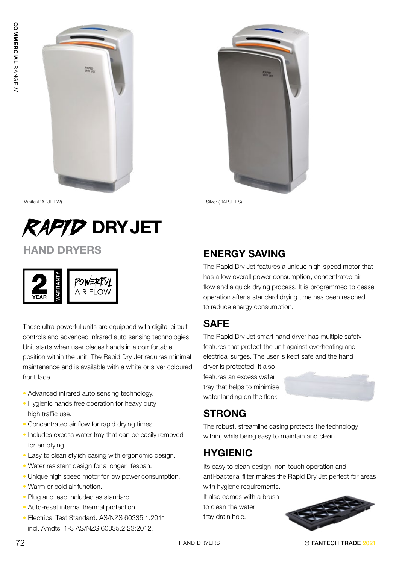



White (RAPJET-W) Silver (RAPJET-S)



# HAND DRYERS

| Ę<br>ş<br>YEAR | AIR FLOW |
|----------------|----------|
|----------------|----------|

These ultra powerful units are equipped with digital circuit controls and advanced infrared auto sensing technologies. Unit starts when user places hands in a comfortable position within the unit. The Rapid Dry Jet requires minimal maintenance and is available with a white or silver coloured front face.

- Advanced infrared auto sensing technology.
- Hygienic hands free operation for heavy duty high traffic use.
- Concentrated air flow for rapid drying times.
- Includes excess water tray that can be easily removed for emptying.
- Easy to clean stylish casing with ergonomic design.
- Water resistant design for a longer lifespan.
- Unique high speed motor for low power consumption.
- Warm or cold air function.
- Plug and lead included as standard.
- Auto-reset internal thermal protection.
- Electrical Test Standard: AS/NZS 60335.1:2011 incl. Amdts. 1-3 AS/NZS 60335.2.23:2012.

### ENERGY SAVING

The Rapid Dry Jet features a unique high-speed motor that has a low overall power consumption, concentrated air flow and a quick drying process. It is programmed to cease operation after a standard drying time has been reached to reduce energy consumption.

## **SAFE**

The Rapid Dry Jet smart hand dryer has multiple safety features that protect the unit against overheating and electrical surges. The user is kept safe and the hand

dryer is protected. It also features an excess water tray that helps to minimise water landing on the floor.



# STRONG

The robust, streamline casing protects the technology within, while being easy to maintain and clean.

# HYGIENIC

Its easy to clean design, non-touch operation and anti-bacterial filter makes the Rapid Dry Jet perfect for areas with hygiene requirements.

It also comes with a brush to clean the water tray drain hole.